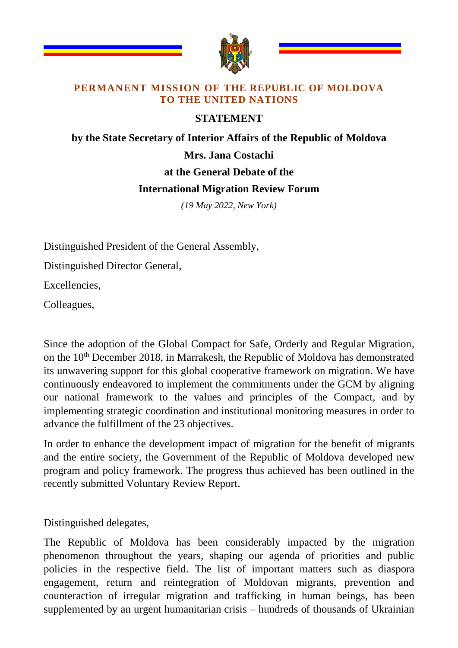

## **PERMANENT MISSION OF THE REPUBLIC OF MOLDOVA TO THE UNITED NATIONS**

## **STATEMENT**

## **by the State Secretary of Interior Affairs of the Republic of Moldova Mrs. Jana Costachi at the General Debate of the International Migration Review Forum**

*(19 May 2022, New York)*

Distinguished President of the General Assembly,

Distinguished Director General,

Excellencies,

Colleagues,

Since the adoption of the Global Compact for Safe, Orderly and Regular Migration, on the  $10<sup>th</sup>$  December 2018, in Marrakesh, the Republic of Moldova has demonstrated its unwavering support for this global cooperative framework on migration. We have continuously endeavored to implement the commitments under the GCM by aligning our national framework to the values and principles of the Compact, and by implementing strategic coordination and institutional monitoring measures in order to advance the fulfillment of the 23 objectives.

In order to enhance the development impact of migration for the benefit of migrants and the entire society, the Government of the Republic of Moldova developed new program and policy framework. The progress thus achieved has been outlined in the recently submitted Voluntary Review Report.

Distinguished delegates,

The Republic of Moldova has been considerably impacted by the migration phenomenon throughout the years, shaping our agenda of priorities and public policies in the respective field. The list of important matters such as diaspora engagement, return and reintegration of Moldovan migrants, prevention and counteraction of irregular migration and trafficking in human beings, has been supplemented by an urgent humanitarian crisis – hundreds of thousands of Ukrainian